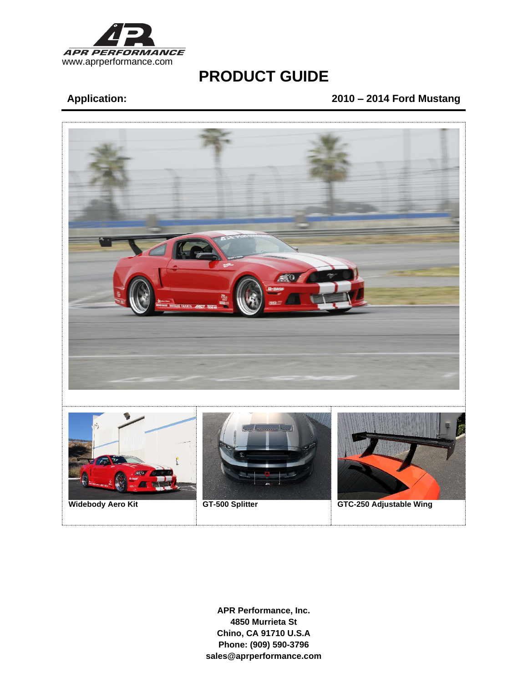

# **Application: 2010 – 2014 Ford Mustang**

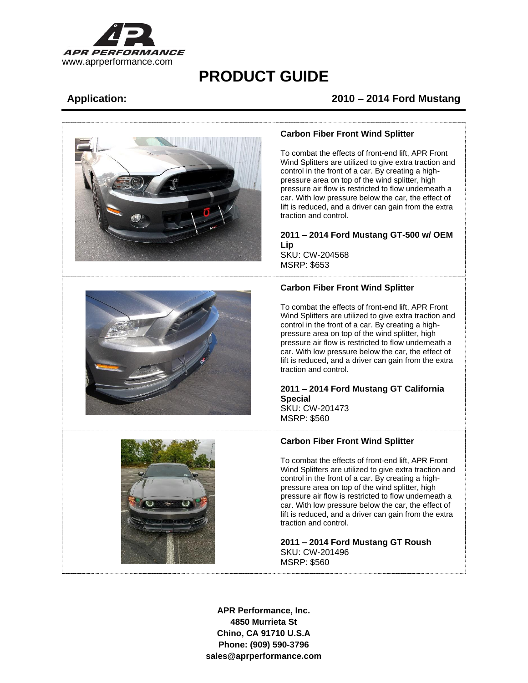

## **Application: 2010 – 2014 Ford Mustang**



#### **Carbon Fiber Front Wind Splitter**

To combat the effects of front-end lift, APR Front Wind Splitters are utilized to give extra traction and control in the front of a car. By creating a highpressure area on top of the wind splitter, high pressure air flow is restricted to flow underneath a car. With low pressure below the car, the effect of lift is reduced, and a driver can gain from the extra traction and control.

## **2011 – 2014 Ford Mustang GT-500 w/ OEM Lip**

SKU: CW-204568 MSRP: \$653

### **Carbon Fiber Front Wind Splitter**

To combat the effects of front-end lift, APR Front Wind Splitters are utilized to give extra traction and control in the front of a car. By creating a highpressure area on top of the wind splitter, high pressure air flow is restricted to flow underneath a car. With low pressure below the car, the effect of lift is reduced, and a driver can gain from the extra traction and control.

### **2011 – 2014 Ford Mustang GT California Special**  SKU: CW-201473

MSRP: \$560



#### **Carbon Fiber Front Wind Splitter**

To combat the effects of front-end lift, APR Front Wind Splitters are utilized to give extra traction and control in the front of a car. By creating a highpressure area on top of the wind splitter, high pressure air flow is restricted to flow underneath a car. With low pressure below the car, the effect of lift is reduced, and a driver can gain from the extra traction and control.

**2011 – 2014 Ford Mustang GT Roush** SKU: CW-201496 MSRP: \$560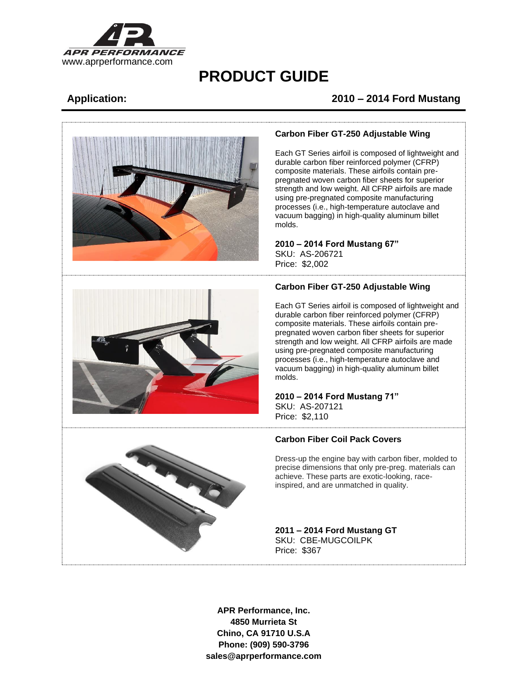

# **Application: 2010 – 2014 Ford Mustang**



#### **Carbon Fiber GT-250 Adjustable Wing**

Each GT Series airfoil is composed of lightweight and durable carbon fiber reinforced polymer (CFRP) composite materials. These airfoils contain prepregnated woven carbon fiber sheets for superior strength and low weight. All CFRP airfoils are made using pre-pregnated composite manufacturing processes (i.e., high-temperature autoclave and vacuum bagging) in high-quality aluminum billet molds.

**2010 – 2014 Ford Mustang 67"** SKU: AS-206721

### **Carbon Fiber GT-250 Adjustable Wing**

Each GT Series airfoil is composed of lightweight and durable carbon fiber reinforced polymer (CFRP) composite materials. These airfoils contain prepregnated woven carbon fiber sheets for superior strength and low weight. All CFRP airfoils are made using pre-pregnated composite manufacturing processes (i.e., high-temperature autoclave and vacuum bagging) in high-quality aluminum billet molds.

## **2010 – 2014 Ford Mustang 71"**

SKU: AS-207121 Price: \$2,110

Price: \$2,002

### **Carbon Fiber Coil Pack Covers**

Dress-up the engine bay with carbon fiber, molded to precise dimensions that only pre-preg. materials can achieve. These parts are exotic-looking, raceinspired, and are unmatched in quality.

**2011 – 2014 Ford Mustang GT**  SKU: CBE-MUGCOILPK Price: \$367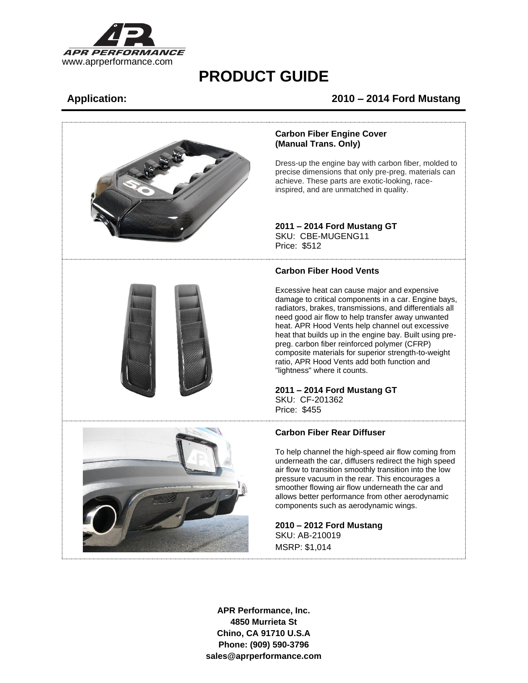

## **Application: 2010 – 2014 Ford Mustang**



#### **Carbon Fiber Engine Cover (Manual Trans. Only)**

Dress-up the engine bay with carbon fiber, molded to precise dimensions that only pre-preg. materials can achieve. These parts are exotic-looking, raceinspired, and are unmatched in quality.

### **2011 – 2014 Ford Mustang GT**  SKU: CBE-MUGENG11

Price: \$512

#### **Carbon Fiber Hood Vents**

Excessive heat can cause major and expensive damage to critical components in a car. Engine bays, radiators, brakes, transmissions, and differentials all need good air flow to help transfer away unwanted heat. APR Hood Vents help channel out excessive heat that builds up in the engine bay. Built using prepreg. carbon fiber reinforced polymer (CFRP) composite materials for superior strength-to-weight ratio, APR Hood Vents add both function and "lightness" where it counts.

#### **2011 – 2014 Ford Mustang GT** SKU: CF-201362 Price: \$455



### **Carbon Fiber Rear Diffuser**

To help channel the high-speed air flow coming from underneath the car, diffusers redirect the high speed air flow to transition smoothly transition into the low pressure vacuum in the rear. This encourages a smoother flowing air flow underneath the car and allows better performance from other aerodynamic components such as aerodynamic wings.

**2010 – 2012 Ford Mustang** SKU: AB-210019 MSRP: \$1,014